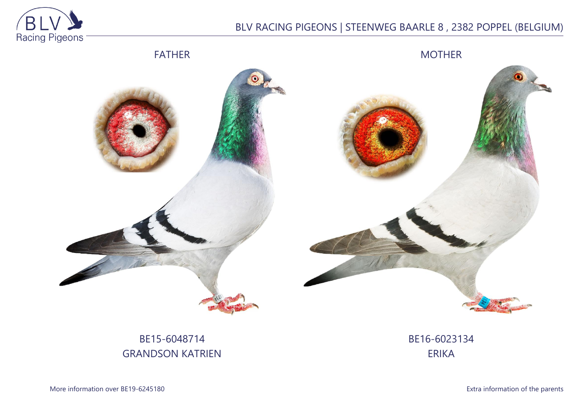

## BLV RACING PIGEONS | STEENWEG BAARLE 8 , 2382 POPPEL (BELGIUM)



BE15-6048714 GRANDSON KATRIEN BE16-6023134 ERIKA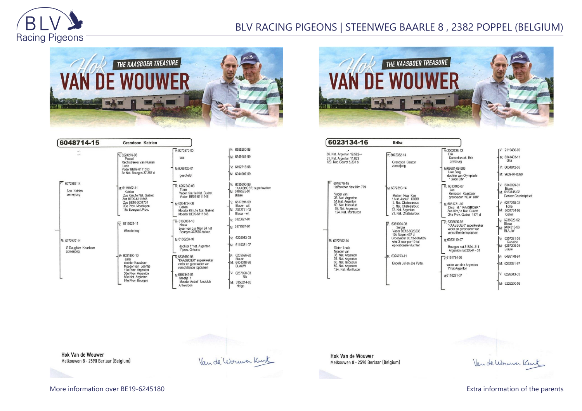

## BLV RACING PIGEONS | STEENWEG BAARLE 8 , 2382 POPPEL (BELGIUM)



| 6048714-15                             | <b>Grandson Katrien</b>                                                                                           |                                                                                                       |                                                                  |
|----------------------------------------|-------------------------------------------------------------------------------------------------------------------|-------------------------------------------------------------------------------------------------------|------------------------------------------------------------------|
|                                        |                                                                                                                   | $V: 6073276-05$                                                                                       | V: 6555280-98                                                    |
| $\overline{\phantom{a}}$               | $V: 6224270-08$<br>Pascal<br>Rechtstreeks Van Nueten<br>$l$ udo<br>Vader BE09-6111553<br>3e Nat. Bourges 37.357 d | laat                                                                                                  | M: 6549151-99                                                    |
|                                        |                                                                                                                   | M:6068125-01                                                                                          | $V: 6192718-98$                                                  |
|                                        |                                                                                                                   | geschelpt                                                                                             | M: 6044907-99                                                    |
| 6072387-14<br>Son Katrien<br>zomerjong | M: 6119102-11<br>Katrien<br>Zus Kim, 1e Nat. Guéret                                                               | $V: 6257240-03$<br>Torre<br>Vader Kim.1e Nat. Guéret<br>Vader BE09-6111546                            | V: 6335690-98<br>"KAASBOER" superkweke<br>M: 6407575-97<br>Blauw |
|                                        | Zus BE09-6111546<br>Zus BE10-6031731<br>38e Prov. Montlucon<br>18e Bourges I. Prov.                               | M:6034734-06<br>Celien<br>Moeder Kim.1e Nat. Guéret<br>Moeder BE09-6111546                            | V: 6517591-99<br>Blauw - wit<br>M: 2072711-02<br>Blauw - wit     |
|                                        | $\nabla 6115021 - 11$<br>Wim de trov                                                                              | $\sqrt{V}$ : 6163863-10<br>blauw<br>broer van o.a 16en 94 nat<br>Bourges 373570 duiven                | v: 6320827-07<br>M: 6377967-07                                   |
| M: 6072427-14                          |                                                                                                                   | M-6166238-10                                                                                          | V: 6226043-03                                                    |
| G.Daughter Kaasboer<br>zomerjong       |                                                                                                                   | dochter 1°nat. Argenton<br>1°prov. Orleans                                                            | M: 6110331-07                                                    |
|                                        | M: 6031800-10<br>Julia<br>dochter Kaasboer<br>Moeder van Leentje<br>11e Prov. Argenton                            | $\nabla 6335690 - 98$<br>"KAASBOER" superkweker<br>vader en grootvader van<br>verschillende topduiven | 6235626-92<br>IV:<br>Blauw<br>M: 6404318-96<br><b>BLAUW</b>      |
|                                        | 30e Prov. Argenton<br>86e Nat. Argenton                                                                           | M6307341-04<br>Greetje 1                                                                              | V: 6257098-03<br>Rik                                             |
|                                        | 64e Prov. Bourges                                                                                                 | Moeder Asduif fondclub<br>Antwerpen                                                                   | M: 6150214-03<br>Helga                                           |



| 0023134-10                                                                                                                                                    | Erika                                                                                                                                                                                   |  |  |
|---------------------------------------------------------------------------------------------------------------------------------------------------------------|-----------------------------------------------------------------------------------------------------------------------------------------------------------------------------------------|--|--|
| 36. Nat. Argenton 19.592--<br>51. Nat. Argenton 11,823<br>129. Nat. Geuret 5,331 b                                                                            | $V: 6072382 - 14$<br>Grandson Gaston<br>zomerjong                                                                                                                                       |  |  |
| 6048779-15<br>Halfbrother New Kim 779<br>Vader van:<br>36. Nat. Argenton<br>51.Nat. Argenton<br>60. Nat. Issoudun<br>69. Nat. Argenton<br>124. Nat. Montlucon | M: 6072399-14<br>Mother New Kim<br>1.Nat. Asduif KBDB<br>2. Nat. Chateauroux<br>5. Nat. Chateauroux<br>12. Nat. Argenton<br>21. Nat. Chateauroux                                        |  |  |
| M: 6072352-14<br>Sister Louis<br>Moeder van<br>36. Nat. Argenton<br>51. Nat. Argenton<br>60. Nat. Issoudun<br>69. Nat. Argenton<br>124. Nat. Montlucon        | 6369094-08<br>Sergio<br>Vader BE12-6023233<br>10e Noyon 437 d<br>Grootvader BE13-6062089<br>wint 3 keer per 10-tal<br>op Nationale vluchten<br>M: 6326793-11<br>Engels Jul en Jos Putte |  |  |
|                                                                                                                                                               |                                                                                                                                                                                         |  |  |

 $\begin{array}{c|c}\n\hline\n\end{array}$ 

| $-2002728 - 12$<br>Erik<br>Samenkweek Erik<br>Limbourg                                                   |  |
|----------------------------------------------------------------------------------------------------------|--|
| M-09861-09-586<br>Uwe Berg<br>dochter van Olympiade<br>* GASTON*                                         |  |
| $\nabla 6033105-07$<br>Jan<br>kleinzoon Kaasboer<br>grootvader "NEW KIM"                                 |  |
| v <sub>1</sub> .6031731-10<br>Dina kl. * KAASBOER *<br>Zus Kim.1e Nat. Guéret<br>24e Prov. Guéret 1871 d |  |
| $7.6335690-98$<br>*KAASBOER* superkweker<br>vader en grootvader van<br>verschillende topduiven           |  |
| м-6033110-07                                                                                             |  |
| Bourges nat 31824-211<br>Argenton nat 20844 - 31                                                         |  |
| V-6151734-99                                                                                             |  |
| vader van den Argenton<br>1°nat.Argenton                                                                 |  |
| м 6110291-07                                                                                             |  |
|                                                                                                          |  |

IV: 2119430-09 M: 6341403-11  $V: 6034842-06$ M: 9639-07-0099 V: 6345099-01 Blauw<br>M: 6183145-02 Donker-Geschelpt-wit V: 6257240-03 Torre<br>M: 6034734-06<br>Celien V: 6235626-92<br>Blauw<br>M: 6404318-96<br>BLAUW V: 6257231-03<br>Ronaldo<br>M: 6257209-03<br>Blauw Iv: 6495178-94 M: 6362091-97 V: 6226043-03 M: 6226250-03

**Hok Van de Wouwer** Melkouwen 8 - 2590 Berlaar (Belgium)

Van de Worwer Kurt

**Hok Van de Wouwer** Melkouwen 8 - 2590 Berlaar (Belgium)

Van de Worwer Kurt

More information over BE19-6245180 **Extra information of the parents** Extra information of the parents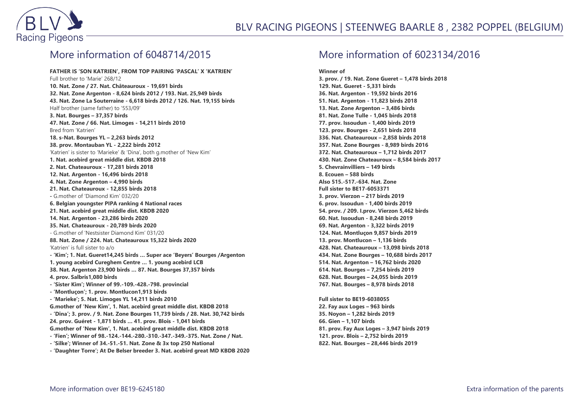

## More information of 6048714/2015

**FATHER IS 'SON KATRIEN', FROM TOP PAIRING 'PASCAL' X 'KATRIEN'** Full brother to 'Marie' 268/12 **10. Nat. Zone / 27. Nat. Châteauroux - 19,691 birds 32. Nat. Zone Argenton - 8,624 birds 2012 / 193. Nat. 25,949 birds 43. Nat. Zone La Souterraine - 6,618 birds 2012 / 126. Nat. 19,155 birds** Half brother (same father) to '553/09' **3. Nat. Bourges – 37,357 birds 47. Nat. Zone / 66. Nat. Limoges - 14,211 birds 2010** Bred from 'Katrien' **18. s-Nat. Bourges YL – 2,263 birds 2012 38. prov. Montauban YL - 2,222 birds 2012** 'Katrien' is sister to 'Marieke' & 'Dina', both g.mother of 'New Kim' **1. Nat. acebird great middle dist. KBDB 2018 2. Nat. Chateauroux - 17,281 birds 2018 12. Nat. Argenton - 16,496 birds 2018 4. Nat. Zone Argenton – 4,990 birds 21. Nat. Chateauroux - 12,855 birds 2018 -** G.mother of 'Diamond Kim' 032/20 **6. Belgian youngster PIPA ranking 4 National races 21. Nat. acebird great middle dist. KBDB 2020 14. Nat. Argenton - 23,286 birds 2020 35. Nat. Chateauroux - 20,789 birds 2020** - G.mother of 'Nestsister Diamond Kim' 031/20 **88. Nat. Zone / 224. Nat. Chateauroux 15,322 birds 2020** 'Katrien' is full sister to a/o **- 'Kim'; 1. Nat. Gueret14,245 birds … Super ace 'Beyers' Bourges /Argenton 1. young acebird Cureghem Centre … 1. young acebird LCB 38. Nat. Argenton 23,900 birds … 87. Nat. Bourges 37,357 birds 4. prov. Salbris1,080 birds - 'Sister Kim'; Winner of 99.-109.-428.-798. provincial - 'Montluçon'; 1. prov. Montlucon1,913 birds - 'Marieke'; 5. Nat. Limoges YL 14,211 birds 2010 G.mother of 'New Kim', 1. Nat. acebird great middle dist. KBDB 2018 - 'Dina'; 3. prov. / 9. Nat. Zone Bourges 11,739 birds / 28. Nat. 30,742 birds 24. prov. Guéret - 1,871 birds … 41. prov. Blois - 1,041 birds G.mother of 'New Kim', 1. Nat. acebird great middle dist. KBDB 2018 - 'Fien'; Winner of 98.-124.-144.-280.-310.-347.-349.-375. Nat. Zone / Nat. - 'Silke'; Winner of 34.-51.-51. Nat. Zone & 3x top 250 National - 'Daughter Torre'; At De Belser breeder 3. Nat. acebird great MD KBDB 2020**

## More information of 6023134/2016

**Winner of 3. prov. / 19. Nat. Zone Gueret – 1,478 birds 2018 129. Nat. Gueret - 5,331 birds 36. Nat. Argenton - 19,592 birds 2016 51. Nat. Argenton - 11,823 birds 2018 13. Nat. Zone Argenton – 3,486 birds 81. Nat. Zone Tulle - 1,045 birds 2018 77. prov. Issoudun - 1,400 birds 2019 123. prov. Bourges - 2,651 birds 2018 336. Nat. Chateauroux – 2,858 birds 2018 357. Nat. Zone Bourges - 8,989 birds 2016 372. Nat. Chateauroux – 1,712 birds 2017 430. Nat. Zone Chateauroux – 8,584 birds 2017 5. Chevrainvilliers – 149 birds 8. Ecouen – 588 birds Also 515.-517.-634. Nat. Zone Full sister to BE17-6053371 3. prov. Vierzon – 217 birds 2019 6. prov. Issoudun - 1,400 birds 2019 54. prov. / 209. I.prov. Vierzon 5,462 birds 60. Nat. Issoudun - 8,248 birds 2019 69. Nat. Argenton - 3,322 birds 2019 124. Nat. Montluçon 9,857 birds 2019 13. prov. Montlucon – 1,136 birds 428. Nat. Chateauroux – 13,098 birds 2018 434. Nat. Zone Bourges – 10,688 birds 2017 514. Nat. Argenton – 16,762 birds 2020 614. Nat. Bourges – 7,254 birds 2019 628. Nat. Bourges – 24,055 birds 2019 767. Nat. Bourges – 8,978 birds 2018**

**Full sister to BE19-6038055 22. Fay aux Loges – 963 birds 35. Noyon – 1,282 birds 2019 66. Gien – 1,107 birds 81. prov. Fay Aux Loges – 3,947 birds 2019 121. prov. Blois – 2,752 birds 2019 822. Nat. Bourges – 28,446 birds 2019**